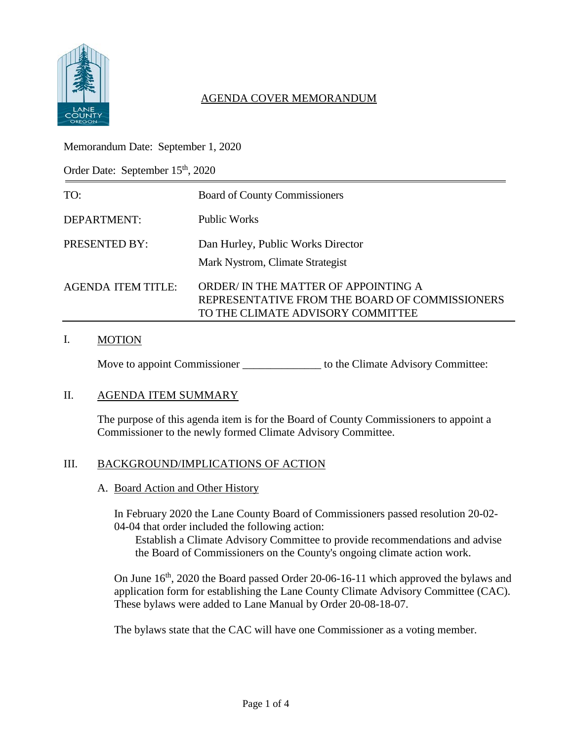

# AGENDA COVER MEMORANDUM

## Memorandum Date: September 1, 2020

Order Date: September 15<sup>th</sup>, 2020

| TO:                | <b>Board of County Commissioners</b>                                                                                       |
|--------------------|----------------------------------------------------------------------------------------------------------------------------|
| DEPARTMENT:        | Public Works                                                                                                               |
| PRESENTED BY:      | Dan Hurley, Public Works Director<br>Mark Nystrom, Climate Strategist                                                      |
| AGENDA ITEM TITLE: | ORDER/IN THE MATTER OF APPOINTING A<br>REPRESENTATIVE FROM THE BOARD OF COMMISSIONERS<br>TO THE CLIMATE ADVISORY COMMITTEE |

## I. MOTION

Move to appoint Commissioner \_\_\_\_\_\_\_\_\_\_\_\_\_\_\_\_\_\_ to the Climate Advisory Committee:

#### II. AGENDA ITEM SUMMARY

The purpose of this agenda item is for the Board of County Commissioners to appoint a Commissioner to the newly formed Climate Advisory Committee.

#### III. BACKGROUND/IMPLICATIONS OF ACTION

A. Board Action and Other History

In February 2020 the Lane County Board of Commissioners passed resolution 20-02- 04-04 that order included the following action:

Establish a Climate Advisory Committee to provide recommendations and advise the Board of Commissioners on the County's ongoing climate action work.

On June  $16<sup>th</sup>$ , 2020 the Board passed Order 20-06-16-11 which approved the bylaws and application form for establishing the Lane County Climate Advisory Committee (CAC). These bylaws were added to Lane Manual by Order 20-08-18-07.

The bylaws state that the CAC will have one Commissioner as a voting member.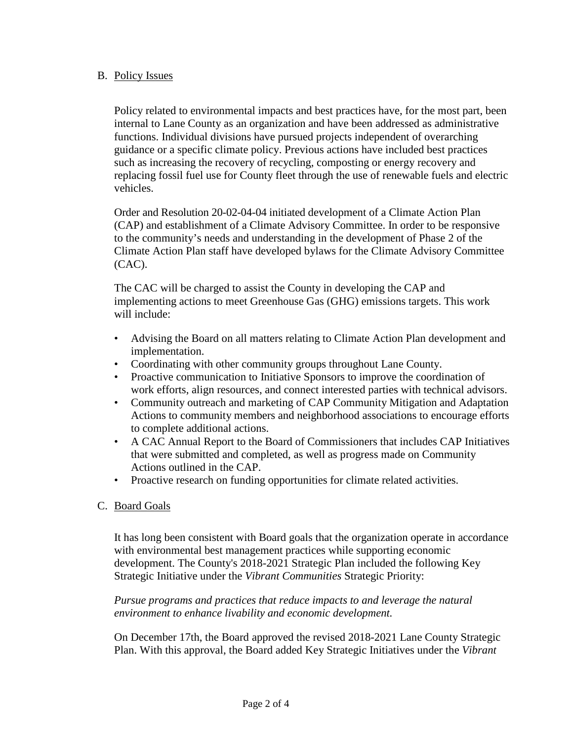## B. Policy Issues

Policy related to environmental impacts and best practices have, for the most part, been internal to Lane County as an organization and have been addressed as administrative functions. Individual divisions have pursued projects independent of overarching guidance or a specific climate policy. Previous actions have included best practices such as increasing the recovery of recycling, composting or energy recovery and replacing fossil fuel use for County fleet through the use of renewable fuels and electric vehicles.

Order and Resolution 20-02-04-04 initiated development of a Climate Action Plan (CAP) and establishment of a Climate Advisory Committee. In order to be responsive to the community's needs and understanding in the development of Phase 2 of the Climate Action Plan staff have developed bylaws for the Climate Advisory Committee (CAC).

The CAC will be charged to assist the County in developing the CAP and implementing actions to meet Greenhouse Gas (GHG) emissions targets. This work will include:

- Advising the Board on all matters relating to Climate Action Plan development and implementation.
- Coordinating with other community groups throughout Lane County.
- Proactive communication to Initiative Sponsors to improve the coordination of work efforts, align resources, and connect interested parties with technical advisors.
- Community outreach and marketing of CAP Community Mitigation and Adaptation Actions to community members and neighborhood associations to encourage efforts to complete additional actions.
- A CAC Annual Report to the Board of Commissioners that includes CAP Initiatives that were submitted and completed, as well as progress made on Community Actions outlined in the CAP.
- Proactive research on funding opportunities for climate related activities.

# C. Board Goals

It has long been consistent with Board goals that the organization operate in accordance with environmental best management practices while supporting economic development. The County's 2018-2021 Strategic Plan included the following Key Strategic Initiative under the *Vibrant Communities* Strategic Priority:

*Pursue programs and practices that reduce impacts to and leverage the natural environment to enhance livability and economic development.*

On December 17th, the Board approved the revised 2018-2021 Lane County Strategic Plan. With this approval, the Board added Key Strategic Initiatives under the *Vibrant*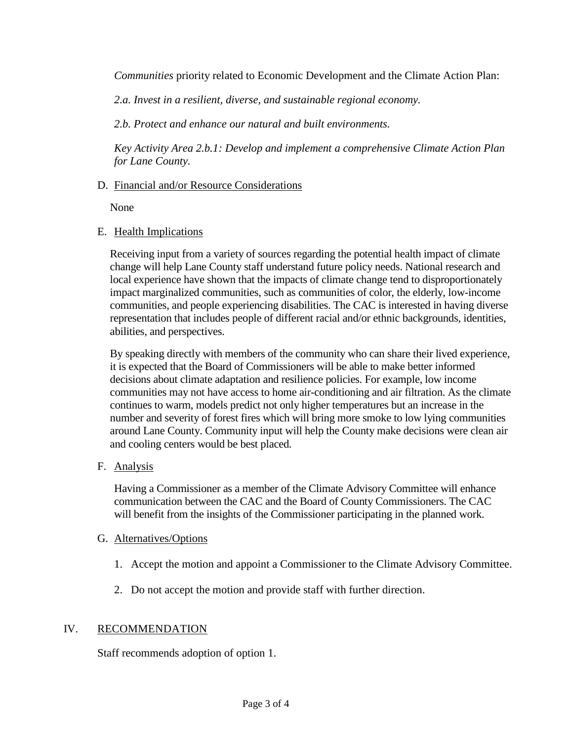*Communities* priority related to Economic Development and the Climate Action Plan:

*2.a. Invest in a resilient, diverse, and sustainable regional economy.*

*2.b. Protect and enhance our natural and built environments.*

*Key Activity Area 2.b.1: Develop and implement a comprehensive Climate Action Plan for Lane County.* 

#### D. Financial and/or Resource Considerations

None

#### E. Health Implications

Receiving input from a variety of sources regarding the potential health impact of climate change will help Lane County staff understand future policy needs. National research and local experience have shown that the impacts of climate change tend to disproportionately impact marginalized communities, such as communities of color, the elderly, low-income communities, and people experiencing disabilities. The CAC is interested in having diverse representation that includes people of different racial and/or ethnic backgrounds, identities, abilities, and perspectives.

By speaking directly with members of the community who can share their lived experience, it is expected that the Board of Commissioners will be able to make better informed decisions about climate adaptation and resilience policies. For example, low income communities may not have access to home air-conditioning and air filtration. As the climate continues to warm, models predict not only higher temperatures but an increase in the number and severity of forest fires which will bring more smoke to low lying communities around Lane County. Community input will help the County make decisions were clean air and cooling centers would be best placed.

F. Analysis

Having a Commissioner as a member of the Climate Advisory Committee will enhance communication between the CAC and the Board of County Commissioners. The CAC will benefit from the insights of the Commissioner participating in the planned work.

#### G. Alternatives/Options

- 1. Accept the motion and appoint a Commissioner to the Climate Advisory Committee.
- 2. Do not accept the motion and provide staff with further direction.

#### IV. RECOMMENDATION

Staff recommends adoption of option 1.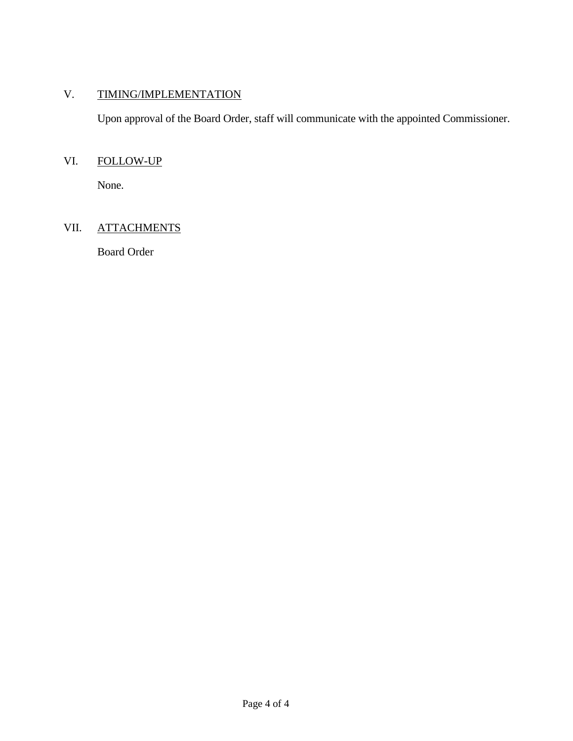# V. TIMING/IMPLEMENTATION

Upon approval of the Board Order, staff will communicate with the appointed Commissioner.

# VI. FOLLOW-UP

None.

# VII. ATTACHMENTS

Board Order